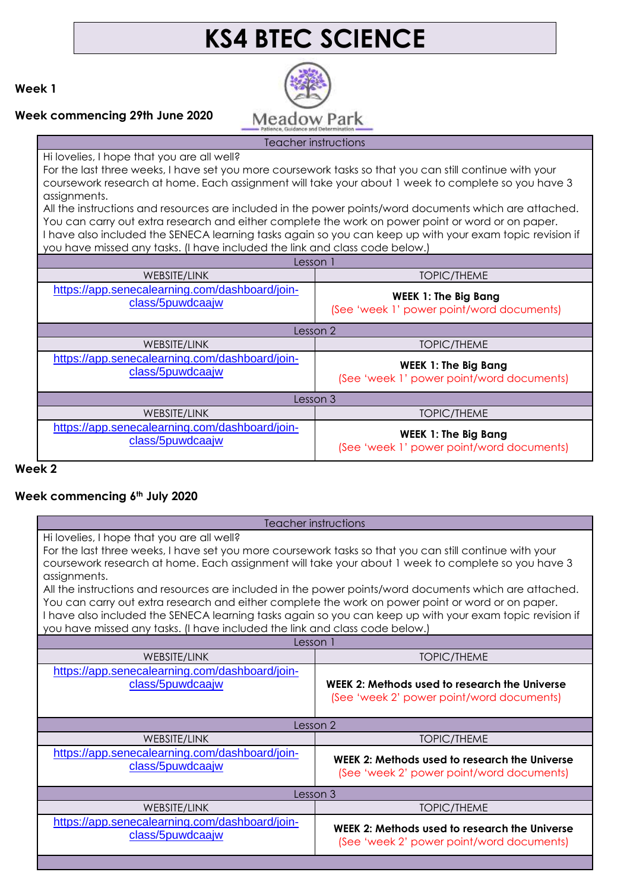# **KS4 BTEC SCIENCE**

**Week 1**

#### **Week commencing 29th June 2020**



Teacher instructions

Hi lovelies, I hope that you are all well?

For the last three weeks, I have set you more coursework tasks so that you can still continue with your coursework research at home. Each assignment will take your about 1 week to complete so you have 3 assignments.

All the instructions and resources are included in the power points/word documents which are attached. You can carry out extra research and either complete the work on power point or word or on paper. I have also included the SENECA learning tasks again so you can keep up with your exam topic revision if you have missed any tasks. (I have included the link and class code below.)

| Lesson <sup>1</sup>                                                |                                                                          |
|--------------------------------------------------------------------|--------------------------------------------------------------------------|
| WEBSITE/LINK                                                       | TOPIC/THEME                                                              |
| https://app.senecalearning.com/dashboard/join-<br>class/5puwdcaajw | <b>WEEK 1: The Big Bang</b><br>(See 'week 1' power point/word documents) |
| Lesson 2                                                           |                                                                          |
| WEBSITE/LINK                                                       | TOPIC/THEME                                                              |
| https://app.senecalearning.com/dashboard/join-<br>class/5puwdcaajw | <b>WEEK 1: The Big Bang</b><br>(See 'week 1' power point/word documents) |
| Lesson 3                                                           |                                                                          |
| WEBSITE/LINK                                                       | <b>TOPIC/THEME</b>                                                       |
| https://app.senecalearning.com/dashboard/join-<br>class/5puwdcaajw | <b>WEEK 1: The Big Bang</b><br>(See 'week 1' power point/word documents) |

#### **Week 2**

### **Week commencing 6th July 2020**

#### Teacher instructions

Hi lovelies, I hope that you are all well?

For the last three weeks, I have set you more coursework tasks so that you can still continue with your coursework research at home. Each assignment will take your about 1 week to complete so you have 3 assignments.

All the instructions and resources are included in the power points/word documents which are attached. You can carry out extra research and either complete the work on power point or word or on paper. I have also included the SENECA learning tasks again so you can keep up with your exam topic revision if you have missed any tasks. (I have included the link and class code below.)

| Lesson 1                                                                                   |  |
|--------------------------------------------------------------------------------------------|--|
| TOPIC/THEME                                                                                |  |
| WEEK 2: Methods used to research the Universe<br>(See 'week 2' power point/word documents) |  |
| Lesson 2                                                                                   |  |
| <b>TOPIC/THEME</b>                                                                         |  |
| WEEK 2: Methods used to research the Universe<br>(See 'week 2' power point/word documents) |  |
| Lesson 3                                                                                   |  |
| <b>TOPIC/THEME</b>                                                                         |  |
| WEEK 2: Methods used to research the Universe<br>(See 'week 2' power point/word documents) |  |
|                                                                                            |  |